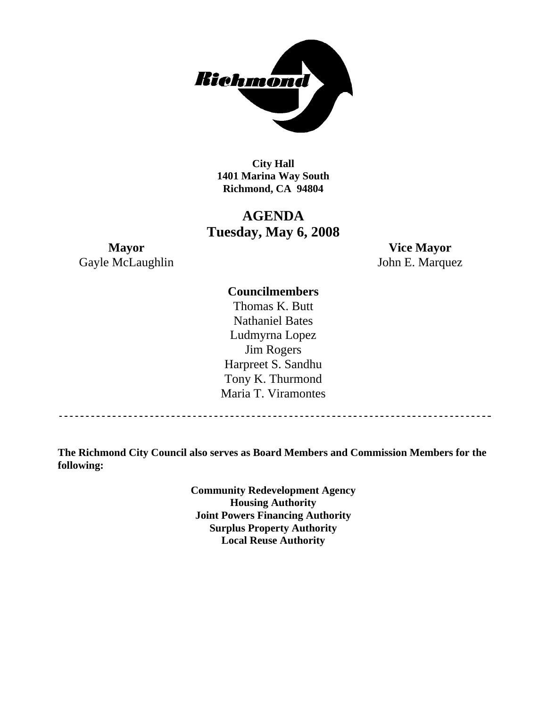

**City Hall 1401 Marina Way South Richmond, CA 94804** 

### **AGENDA Tuesday, May 6, 2008**

**Mayor Vice Mayor**  Gayle McLaughlin John E. Marquez

#### **Councilmembers**

Thomas K. Butt Nathaniel Bates Ludmyrna Lopez Jim Rogers Harpreet S. Sandhu Tony K. Thurmond Maria T. Viramontes

**The Richmond City Council also serves as Board Members and Commission Members for the following:** 

> **Community Redevelopment Agency Housing Authority Joint Powers Financing Authority Surplus Property Authority Local Reuse Authority**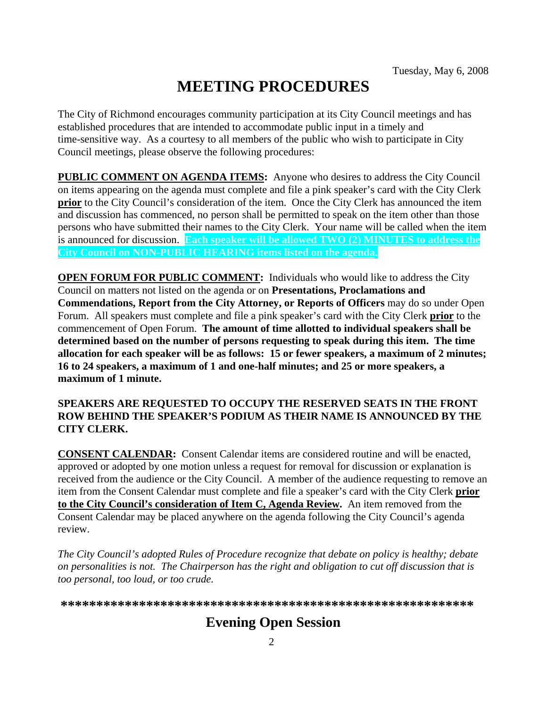# **MEETING PROCEDURES**

The City of Richmond encourages community participation at its City Council meetings and has established procedures that are intended to accommodate public input in a timely and time-sensitive way. As a courtesy to all members of the public who wish to participate in City Council meetings, please observe the following procedures:

**PUBLIC COMMENT ON AGENDA ITEMS:** Anyone who desires to address the City Council on items appearing on the agenda must complete and file a pink speaker's card with the City Clerk **prior** to the City Council's consideration of the item. Once the City Clerk has announced the item and discussion has commenced, no person shall be permitted to speak on the item other than those persons who have submitted their names to the City Clerk. Your name will be called when the item is announced for discussion. **Each speaker will be allowed TWO (2) MINUTES to address the City Council on NON-PUBLIC HEARING items listed on the agenda.** 

**OPEN FORUM FOR PUBLIC COMMENT:** Individuals who would like to address the City Council on matters not listed on the agenda or on **Presentations, Proclamations and Commendations, Report from the City Attorney, or Reports of Officers** may do so under Open Forum. All speakers must complete and file a pink speaker's card with the City Clerk **prior** to the commencement of Open Forum. **The amount of time allotted to individual speakers shall be determined based on the number of persons requesting to speak during this item. The time allocation for each speaker will be as follows: 15 or fewer speakers, a maximum of 2 minutes; 16 to 24 speakers, a maximum of 1 and one-half minutes; and 25 or more speakers, a maximum of 1 minute.** 

#### **SPEAKERS ARE REQUESTED TO OCCUPY THE RESERVED SEATS IN THE FRONT ROW BEHIND THE SPEAKER'S PODIUM AS THEIR NAME IS ANNOUNCED BY THE CITY CLERK.**

**CONSENT CALENDAR:** Consent Calendar items are considered routine and will be enacted, approved or adopted by one motion unless a request for removal for discussion or explanation is received from the audience or the City Council. A member of the audience requesting to remove an item from the Consent Calendar must complete and file a speaker's card with the City Clerk **prior to the City Council's consideration of Item C, Agenda Review.** An item removed from the Consent Calendar may be placed anywhere on the agenda following the City Council's agenda review.

*The City Council's adopted Rules of Procedure recognize that debate on policy is healthy; debate on personalities is not. The Chairperson has the right and obligation to cut off discussion that is too personal, too loud, or too crude.* 

**\*\*\*\*\*\*\*\*\*\*\*\*\*\*\*\*\*\*\*\*\*\*\*\*\*\*\*\*\*\*\*\*\*\*\*\*\*\*\*\*\*\*\*\*\*\*\*\*\*\*\*\*\*\*\*\*\*\***

# **Evening Open Session**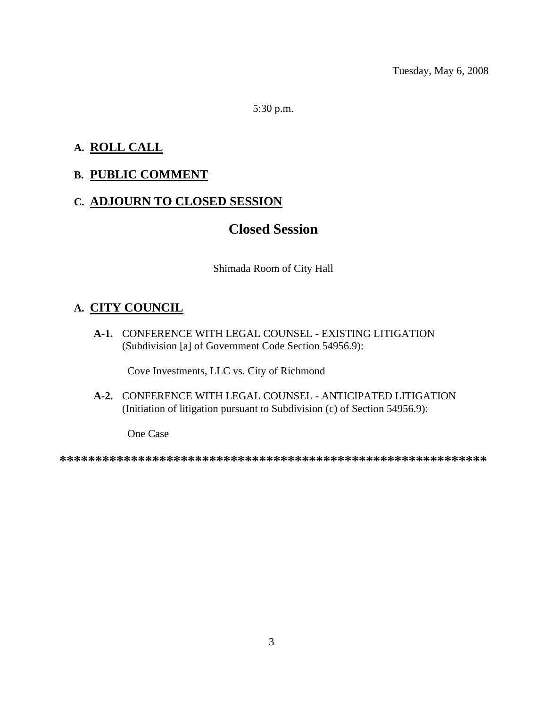5:30 p.m.

### **A. ROLL CALL**

### **B. PUBLIC COMMENT**

#### **C. ADJOURN TO CLOSED SESSION**

# **Closed Session**

Shimada Room of City Hall

### **A. CITY COUNCIL**

 **A-1.** CONFERENCE WITH LEGAL COUNSEL - EXISTING LITIGATION (Subdivision [a] of Government Code Section 54956.9):

Cove Investments, LLC vs. City of Richmond

 **A-2.** CONFERENCE WITH LEGAL COUNSEL - ANTICIPATED LITIGATION (Initiation of litigation pursuant to Subdivision (c) of Section 54956.9):

One Case

**\*\*\*\*\*\*\*\*\*\*\*\*\*\*\*\*\*\*\*\*\*\*\*\*\*\*\*\*\*\*\*\*\*\*\*\*\*\*\*\*\*\*\*\*\*\*\*\*\*\*\*\*\*\*\*\*\*\*\*\***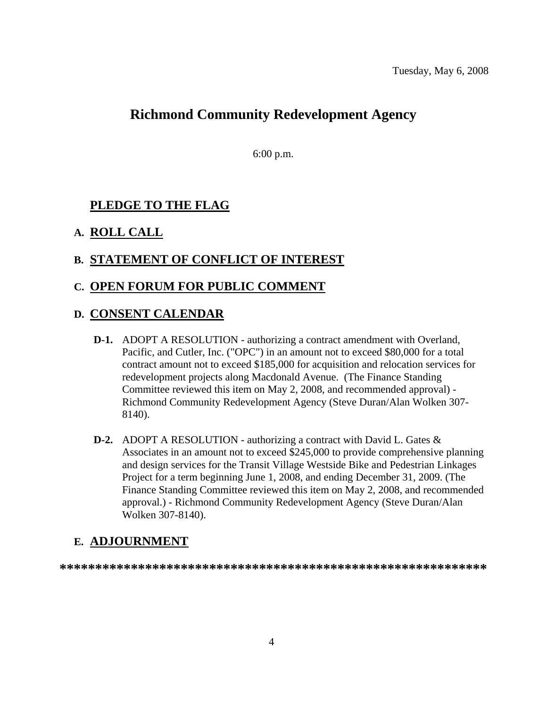# **Richmond Community Redevelopment Agency**

6:00 p.m.

### **PLEDGE TO THE FLAG**

#### **A. ROLL CALL**

#### **B. STATEMENT OF CONFLICT OF INTEREST**

#### **C. OPEN FORUM FOR PUBLIC COMMENT**

#### **D. CONSENT CALENDAR**

- **D-1.** ADOPT A RESOLUTION authorizing a contract amendment with Overland, Pacific, and Cutler, Inc. ("OPC") in an amount not to exceed \$80,000 for a total contract amount not to exceed \$185,000 for acquisition and relocation services for redevelopment projects along Macdonald Avenue. (The Finance Standing Committee reviewed this item on May 2, 2008, and recommended approval) - Richmond Community Redevelopment Agency (Steve Duran/Alan Wolken 307- 8140).
- **D-2.** ADOPT A RESOLUTION authorizing a contract with David L. Gates & Associates in an amount not to exceed \$245,000 to provide comprehensive planning and design services for the Transit Village Westside Bike and Pedestrian Linkages Project for a term beginning June 1, 2008, and ending December 31, 2009. (The Finance Standing Committee reviewed this item on May 2, 2008, and recommended approval.) - Richmond Community Redevelopment Agency (Steve Duran/Alan Wolken 307-8140).

### **E. ADJOURNMENT**

**\*\*\*\*\*\*\*\*\*\*\*\*\*\*\*\*\*\*\*\*\*\*\*\*\*\*\*\*\*\*\*\*\*\*\*\*\*\*\*\*\*\*\*\*\*\*\*\*\*\*\*\*\*\*\*\*\*\*\*\***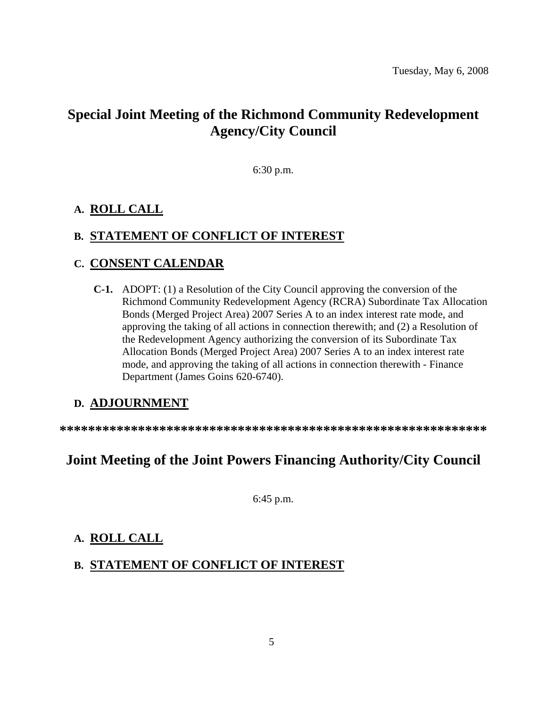# **Special Joint Meeting of the Richmond Community Redevelopment Agency/City Council**

6:30 p.m.

### **A. ROLL CALL**

#### **B. STATEMENT OF CONFLICT OF INTEREST**

#### **C. CONSENT CALENDAR**

 **C-1.** ADOPT: (1) a Resolution of the City Council approving the conversion of the Richmond Community Redevelopment Agency (RCRA) Subordinate Tax Allocation Bonds (Merged Project Area) 2007 Series A to an index interest rate mode, and approving the taking of all actions in connection therewith; and (2) a Resolution of the Redevelopment Agency authorizing the conversion of its Subordinate Tax Allocation Bonds (Merged Project Area) 2007 Series A to an index interest rate mode, and approving the taking of all actions in connection therewith - Finance Department (James Goins 620-6740).

### **D. ADJOURNMENT**

**\*\*\*\*\*\*\*\*\*\*\*\*\*\*\*\*\*\*\*\*\*\*\*\*\*\*\*\*\*\*\*\*\*\*\*\*\*\*\*\*\*\*\*\*\*\*\*\*\*\*\*\*\*\*\*\*\*\*\*\*** 

# **Joint Meeting of the Joint Powers Financing Authority/City Council**

6:45 p.m.

### **A. ROLL CALL**

### **B. STATEMENT OF CONFLICT OF INTEREST**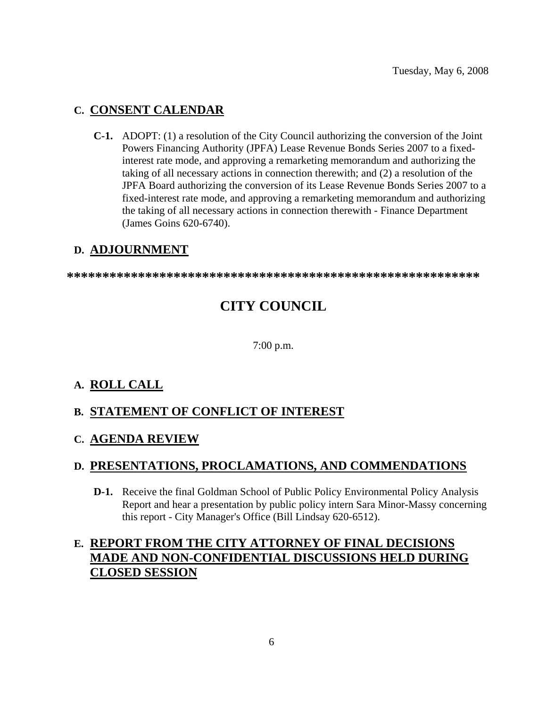#### **C. CONSENT CALENDAR**

 **C-1.** ADOPT: (1) a resolution of the City Council authorizing the conversion of the Joint Powers Financing Authority (JPFA) Lease Revenue Bonds Series 2007 to a fixedinterest rate mode, and approving a remarketing memorandum and authorizing the taking of all necessary actions in connection therewith; and (2) a resolution of the JPFA Board authorizing the conversion of its Lease Revenue Bonds Series 2007 to a fixed-interest rate mode, and approving a remarketing memorandum and authorizing the taking of all necessary actions in connection therewith - Finance Department (James Goins 620-6740).

### **D. ADJOURNMENT**

**\*\*\*\*\*\*\*\*\*\*\*\*\*\*\*\*\*\*\*\*\*\*\*\*\*\*\*\*\*\*\*\*\*\*\*\*\*\*\*\*\*\*\*\*\*\*\*\*\*\*\*\*\*\*\*\*\*\*** 

# **CITY COUNCIL**

7:00 p.m.

### **A. ROLL CALL**

### **B. STATEMENT OF CONFLICT OF INTEREST**

#### **C. AGENDA REVIEW**

### **D. PRESENTATIONS, PROCLAMATIONS, AND COMMENDATIONS**

 **D-1.** Receive the final Goldman School of Public Policy Environmental Policy Analysis Report and hear a presentation by public policy intern Sara Minor-Massy concerning this report - City Manager's Office (Bill Lindsay 620-6512).

### **E. REPORT FROM THE CITY ATTORNEY OF FINAL DECISIONS MADE AND NON-CONFIDENTIAL DISCUSSIONS HELD DURING CLOSED SESSION**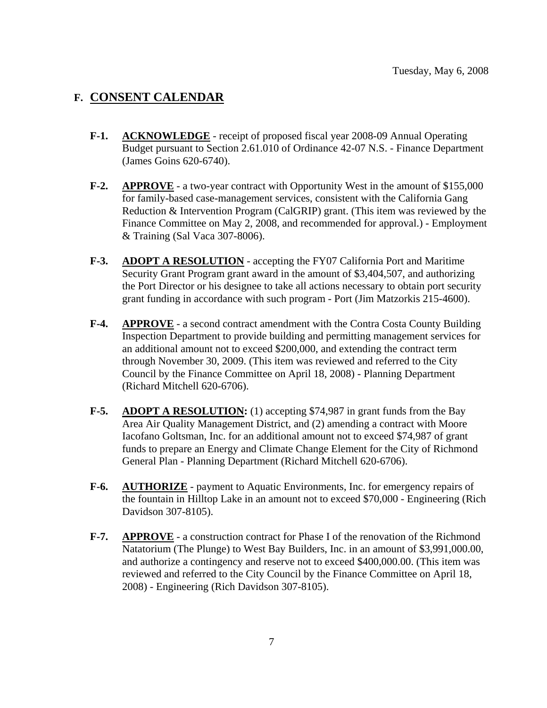#### **F. CONSENT CALENDAR**

- **F-1. ACKNOWLEDGE** receipt of proposed fiscal year 2008-09 Annual Operating Budget pursuant to Section 2.61.010 of Ordinance 42-07 N.S. - Finance Department (James Goins 620-6740).
- **F-2. APPROVE** a two-year contract with Opportunity West in the amount of \$155,000 for family-based case-management services, consistent with the California Gang Reduction & Intervention Program (CalGRIP) grant. (This item was reviewed by the Finance Committee on May 2, 2008, and recommended for approval.) - Employment & Training (Sal Vaca 307-8006).
- **F-3. ADOPT A RESOLUTION** accepting the FY07 California Port and Maritime Security Grant Program grant award in the amount of \$3,404,507, and authorizing the Port Director or his designee to take all actions necessary to obtain port security grant funding in accordance with such program - Port (Jim Matzorkis 215-4600).
- **F-4. APPROVE** a second contract amendment with the Contra Costa County Building Inspection Department to provide building and permitting management services for an additional amount not to exceed \$200,000, and extending the contract term through November 30, 2009. (This item was reviewed and referred to the City Council by the Finance Committee on April 18, 2008) - Planning Department (Richard Mitchell 620-6706).
- **F-5.** ADOPT A RESOLUTION: (1) accepting \$74,987 in grant funds from the Bay Area Air Quality Management District, and (2) amending a contract with Moore Iacofano Goltsman, Inc. for an additional amount not to exceed \$74,987 of grant funds to prepare an Energy and Climate Change Element for the City of Richmond General Plan - Planning Department (Richard Mitchell 620-6706).
- **F-6. AUTHORIZE** payment to Aquatic Environments, Inc. for emergency repairs of the fountain in Hilltop Lake in an amount not to exceed \$70,000 - Engineering (Rich Davidson 307-8105).
- **F-7. APPROVE** a construction contract for Phase I of the renovation of the Richmond Natatorium (The Plunge) to West Bay Builders, Inc. in an amount of \$3,991,000.00, and authorize a contingency and reserve not to exceed \$400,000.00. (This item was reviewed and referred to the City Council by the Finance Committee on April 18, 2008) - Engineering (Rich Davidson 307-8105).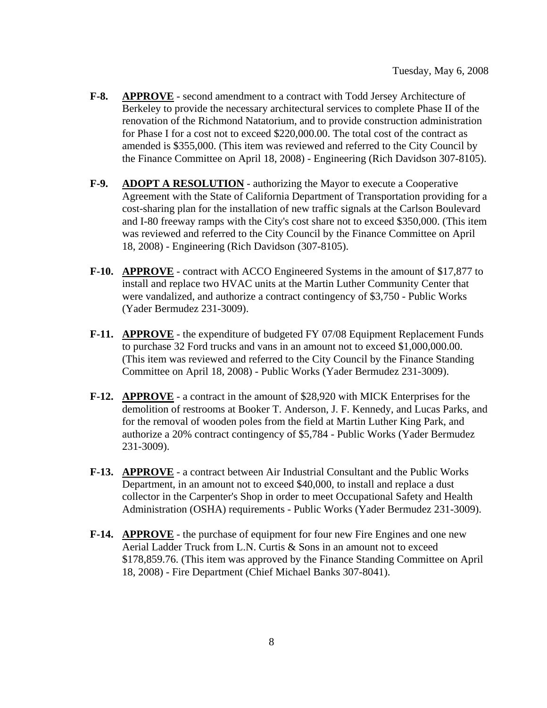- **F-8. APPROVE** second amendment to a contract with Todd Jersey Architecture of Berkeley to provide the necessary architectural services to complete Phase II of the renovation of the Richmond Natatorium, and to provide construction administration for Phase I for a cost not to exceed \$220,000.00. The total cost of the contract as amended is \$355,000. (This item was reviewed and referred to the City Council by the Finance Committee on April 18, 2008) - Engineering (Rich Davidson 307-8105).
- **F-9. ADOPT A RESOLUTION** authorizing the Mayor to execute a Cooperative Agreement with the State of California Department of Transportation providing for a cost-sharing plan for the installation of new traffic signals at the Carlson Boulevard and I-80 freeway ramps with the City's cost share not to exceed \$350,000. (This item was reviewed and referred to the City Council by the Finance Committee on April 18, 2008) - Engineering (Rich Davidson (307-8105).
- **F-10. APPROVE** contract with ACCO Engineered Systems in the amount of \$17,877 to install and replace two HVAC units at the Martin Luther Community Center that were vandalized, and authorize a contract contingency of \$3,750 - Public Works (Yader Bermudez 231-3009).
- **F-11. APPROVE** the expenditure of budgeted FY 07/08 Equipment Replacement Funds to purchase 32 Ford trucks and vans in an amount not to exceed \$1,000,000.00. (This item was reviewed and referred to the City Council by the Finance Standing Committee on April 18, 2008) - Public Works (Yader Bermudez 231-3009).
- **F-12. APPROVE** a contract in the amount of \$28,920 with MICK Enterprises for the demolition of restrooms at Booker T. Anderson, J. F. Kennedy, and Lucas Parks, and for the removal of wooden poles from the field at Martin Luther King Park, and authorize a 20% contract contingency of \$5,784 - Public Works (Yader Bermudez 231-3009).
- **F-13. APPROVE** a contract between Air Industrial Consultant and the Public Works Department, in an amount not to exceed \$40,000, to install and replace a dust collector in the Carpenter's Shop in order to meet Occupational Safety and Health Administration (OSHA) requirements - Public Works (Yader Bermudez 231-3009).
- **F-14. APPROVE** the purchase of equipment for four new Fire Engines and one new Aerial Ladder Truck from L.N. Curtis & Sons in an amount not to exceed \$178,859.76. (This item was approved by the Finance Standing Committee on April 18, 2008) - Fire Department (Chief Michael Banks 307-8041).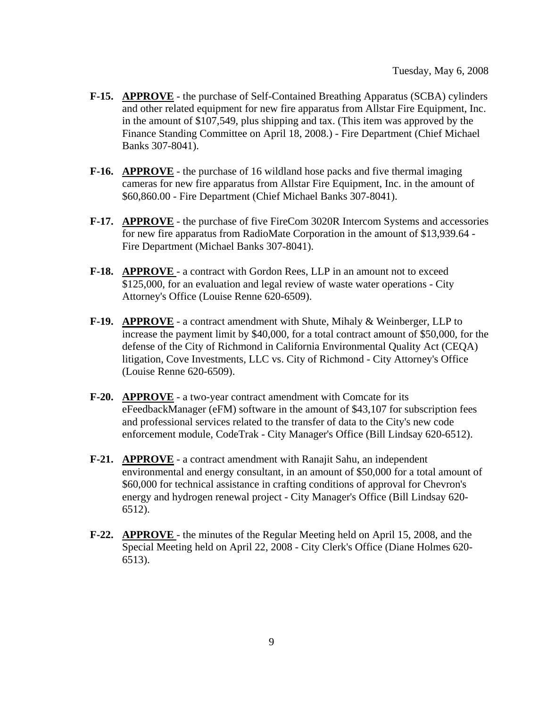- **F-15. APPROVE** the purchase of Self-Contained Breathing Apparatus (SCBA) cylinders and other related equipment for new fire apparatus from Allstar Fire Equipment, Inc. in the amount of \$107,549, plus shipping and tax. (This item was approved by the Finance Standing Committee on April 18, 2008.) - Fire Department (Chief Michael Banks 307-8041).
- **F-16. APPROVE** the purchase of 16 wildland hose packs and five thermal imaging cameras for new fire apparatus from Allstar Fire Equipment, Inc. in the amount of \$60,860.00 - Fire Department (Chief Michael Banks 307-8041).
- **F-17. APPROVE** the purchase of five FireCom 3020R Intercom Systems and accessories for new fire apparatus from RadioMate Corporation in the amount of \$13,939.64 - Fire Department (Michael Banks 307-8041).
- **F-18. APPROVE**  a contract with Gordon Rees, LLP in an amount not to exceed \$125,000, for an evaluation and legal review of waste water operations - City Attorney's Office (Louise Renne 620-6509).
- **F-19. APPROVE** a contract amendment with Shute, Mihaly & Weinberger, LLP to increase the payment limit by \$40,000, for a total contract amount of \$50,000, for the defense of the City of Richmond in California Environmental Quality Act (CEQA) litigation, Cove Investments, LLC vs. City of Richmond - City Attorney's Office (Louise Renne 620-6509).
- **F-20. APPROVE** a two-year contract amendment with Comcate for its eFeedbackManager (eFM) software in the amount of \$43,107 for subscription fees and professional services related to the transfer of data to the City's new code enforcement module, CodeTrak - City Manager's Office (Bill Lindsay 620-6512).
- **F-21. APPROVE** a contract amendment with Ranajit Sahu, an independent environmental and energy consultant, in an amount of \$50,000 for a total amount of \$60,000 for technical assistance in crafting conditions of approval for Chevron's energy and hydrogen renewal project - City Manager's Office (Bill Lindsay 620- 6512).
- **F-22. APPROVE**  the minutes of the Regular Meeting held on April 15, 2008, and the Special Meeting held on April 22, 2008 - City Clerk's Office (Diane Holmes 620- 6513).